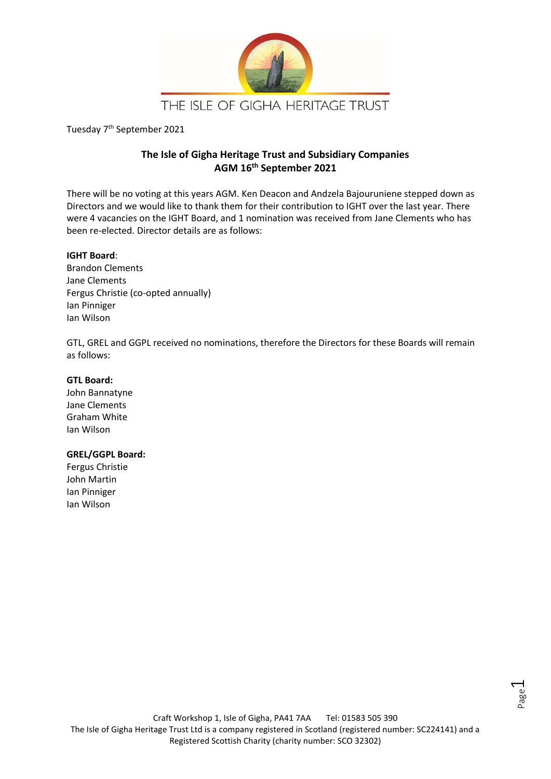

Tuesday 7<sup>th</sup> September 2021

# **The Isle of Gigha Heritage Trust and Subsidiary Companies AGM 16th September 2021**

There will be no voting at this years AGM. Ken Deacon and Andzela Bajouruniene stepped down as Directors and we would like to thank them for their contribution to IGHT over the last year. There were 4 vacancies on the IGHT Board, and 1 nomination was received from Jane Clements who has been re-elected. Director details are as follows:

### **IGHT Board**:

Brandon Clements Jane Clements Fergus Christie (co-opted annually) Ian Pinniger Ian Wilson

GTL, GREL and GGPL received no nominations, therefore the Directors for these Boards will remain as follows:

#### **GTL Board:**

John Bannatyne Jane Clements Graham White Ian Wilson

## **GREL/GGPL Board:**

Fergus Christie John Martin Ian Pinniger Ian Wilson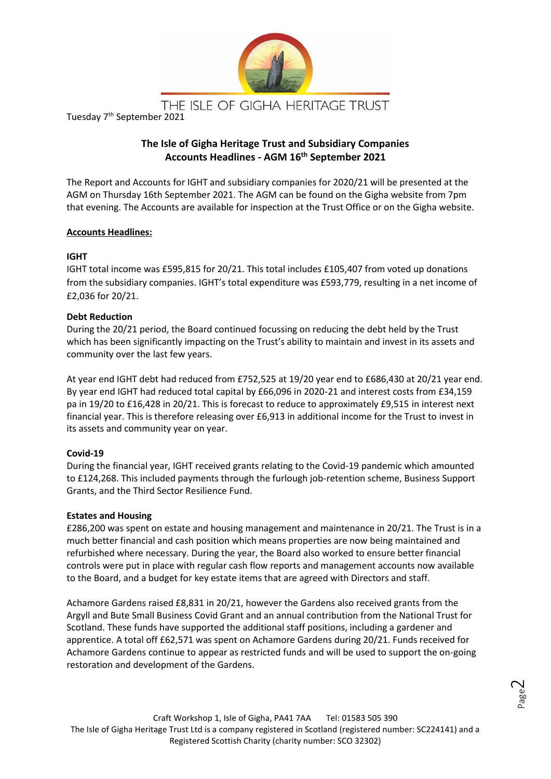

Tuesday 7th September 2021

# **The Isle of Gigha Heritage Trust and Subsidiary Companies Accounts Headlines - AGM 16th September 2021**

The Report and Accounts for IGHT and subsidiary companies for 2020/21 will be presented at the AGM on Thursday 16th September 2021. The AGM can be found on the Gigha website from 7pm that evening. The Accounts are available for inspection at the Trust Office or on the Gigha website.

## **Accounts Headlines:**

## **IGHT**

IGHT total income was £595,815 for 20/21. This total includes £105,407 from voted up donations from the subsidiary companies. IGHT's total expenditure was £593,779, resulting in a net income of £2,036 for 20/21.

## **Debt Reduction**

During the 20/21 period, the Board continued focussing on reducing the debt held by the Trust which has been significantly impacting on the Trust's ability to maintain and invest in its assets and community over the last few years.

At year end IGHT debt had reduced from £752,525 at 19/20 year end to £686,430 at 20/21 year end. By year end IGHT had reduced total capital by £66,096 in 2020-21 and interest costs from £34,159 pa in 19/20 to £16,428 in 20/21. This is forecast to reduce to approximately £9,515 in interest next financial year. This is therefore releasing over £6,913 in additional income for the Trust to invest in its assets and community year on year.

# **Covid-19**

During the financial year, IGHT received grants relating to the Covid-19 pandemic which amounted to £124,268. This included payments through the furlough job-retention scheme, Business Support Grants, and the Third Sector Resilience Fund.

## **Estates and Housing**

£286,200 was spent on estate and housing management and maintenance in 20/21. The Trust is in a much better financial and cash position which means properties are now being maintained and refurbished where necessary. During the year, the Board also worked to ensure better financial controls were put in place with regular cash flow reports and management accounts now available to the Board, and a budget for key estate items that are agreed with Directors and staff.

Achamore Gardens raised £8,831 in 20/21, however the Gardens also received grants from the Argyll and Bute Small Business Covid Grant and an annual contribution from the National Trust for Scotland. These funds have supported the additional staff positions, including a gardener and apprentice. A total off £62,571 was spent on Achamore Gardens during 20/21. Funds received for Achamore Gardens continue to appear as restricted funds and will be used to support the on-going restoration and development of the Gardens.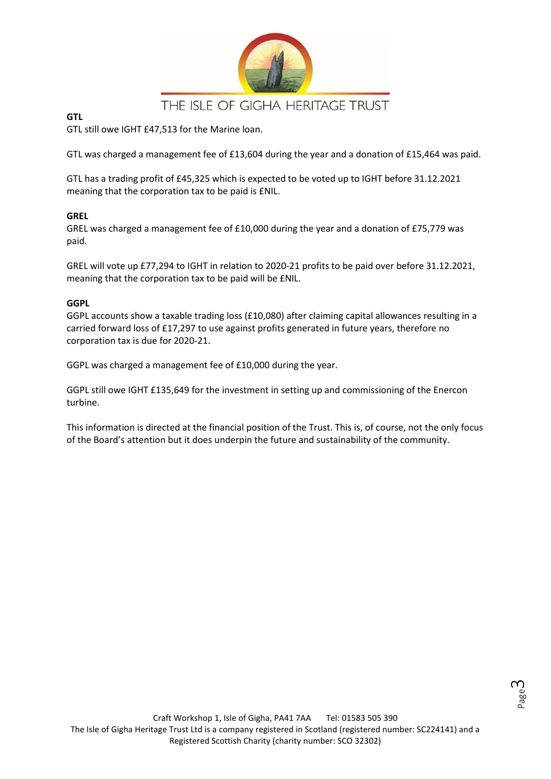

## **GTL**

GTL still owe IGHT £47,513 for the Marine loan.

GTL was charged a management fee of £13,604 during the year and a donation of £15,464 was paid.

GTL has a trading profit of £45,325 which is expected to be voted up to IGHT before 31.12.2021 meaning that the corporation tax to be paid is £NIL.

### **GREL**

GREL was charged a management fee of £10,000 during the year and a donation of £75,779 was paid.

GREL will vote up £77,294 to IGHT in relation to 2020-21 profits to be paid over before 31.12.2021, meaning that the corporation tax to be paid will be £NIL.

### **GGPL**

GGPL accounts show a taxable trading loss (£10,080) after claiming capital allowances resulting in a carried forward loss of £17,297 to use against profits generated in future years, therefore no corporation tax is due for 2020-21.

GGPL was charged a management fee of £10,000 during the year.

GGPL still owe IGHT £135,649 for the investment in setting up and commissioning of the Enercon turbine.

This information is directed at the financial position of the Trust. This is, of course, not the only focus of the Board's attention but it does underpin the future and sustainability of the community.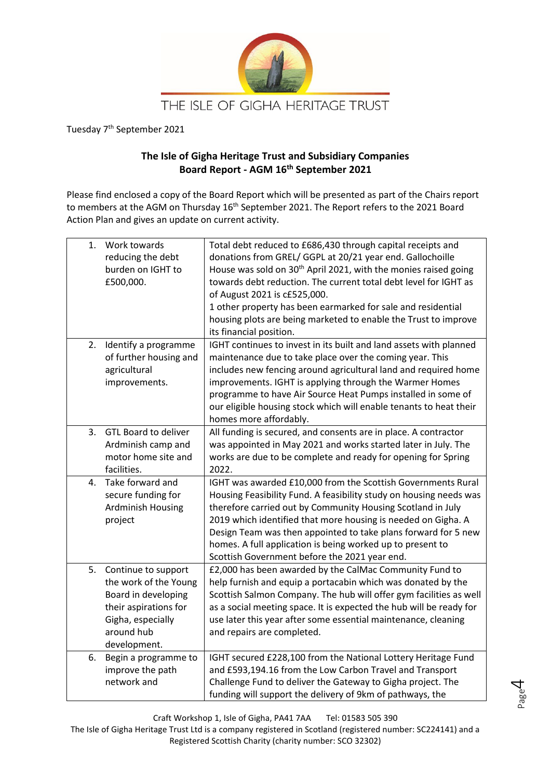

Tuesday 7<sup>th</sup> September 2021

# **The Isle of Gigha Heritage Trust and Subsidiary Companies Board Report - AGM 16th September 2021**

Please find enclosed a copy of the Board Report which will be presented as part of the Chairs report to members at the AGM on Thursday 16<sup>th</sup> September 2021. The Report refers to the 2021 Board Action Plan and gives an update on current activity.

| 1. | Work towards<br>reducing the debt<br>burden on IGHT to<br>£500,000.                                                                             | Total debt reduced to £686,430 through capital receipts and<br>donations from GREL/ GGPL at 20/21 year end. Gallochoille<br>House was sold on 30 <sup>th</sup> April 2021, with the monies raised going<br>towards debt reduction. The current total debt level for IGHT as<br>of August 2021 is c£525,000.<br>1 other property has been earmarked for sale and residential<br>housing plots are being marketed to enable the Trust to improve<br>its financial position. |
|----|-------------------------------------------------------------------------------------------------------------------------------------------------|---------------------------------------------------------------------------------------------------------------------------------------------------------------------------------------------------------------------------------------------------------------------------------------------------------------------------------------------------------------------------------------------------------------------------------------------------------------------------|
| 2. | Identify a programme<br>of further housing and<br>agricultural<br>improvements.                                                                 | IGHT continues to invest in its built and land assets with planned<br>maintenance due to take place over the coming year. This<br>includes new fencing around agricultural land and required home<br>improvements. IGHT is applying through the Warmer Homes<br>programme to have Air Source Heat Pumps installed in some of<br>our eligible housing stock which will enable tenants to heat their<br>homes more affordably.                                              |
| 3. | <b>GTL Board to deliver</b><br>Ardminish camp and<br>motor home site and<br>facilities.                                                         | All funding is secured, and consents are in place. A contractor<br>was appointed in May 2021 and works started later in July. The<br>works are due to be complete and ready for opening for Spring<br>2022.                                                                                                                                                                                                                                                               |
| 4. | Take forward and<br>secure funding for<br>Ardminish Housing<br>project                                                                          | IGHT was awarded £10,000 from the Scottish Governments Rural<br>Housing Feasibility Fund. A feasibility study on housing needs was<br>therefore carried out by Community Housing Scotland in July<br>2019 which identified that more housing is needed on Gigha. A<br>Design Team was then appointed to take plans forward for 5 new<br>homes. A full application is being worked up to present to<br>Scottish Government before the 2021 year end.                       |
| 5. | Continue to support<br>the work of the Young<br>Board in developing<br>their aspirations for<br>Gigha, especially<br>around hub<br>development. | £2,000 has been awarded by the CalMac Community Fund to<br>help furnish and equip a portacabin which was donated by the<br>Scottish Salmon Company. The hub will offer gym facilities as well<br>as a social meeting space. It is expected the hub will be ready for<br>use later this year after some essential maintenance, cleaning<br>and repairs are completed.                                                                                                      |
| 6. | Begin a programme to<br>improve the path<br>network and                                                                                         | IGHT secured £228,100 from the National Lottery Heritage Fund<br>and £593,194.16 from the Low Carbon Travel and Transport<br>Challenge Fund to deliver the Gateway to Gigha project. The<br>funding will support the delivery of 9km of pathways, the                                                                                                                                                                                                                     |

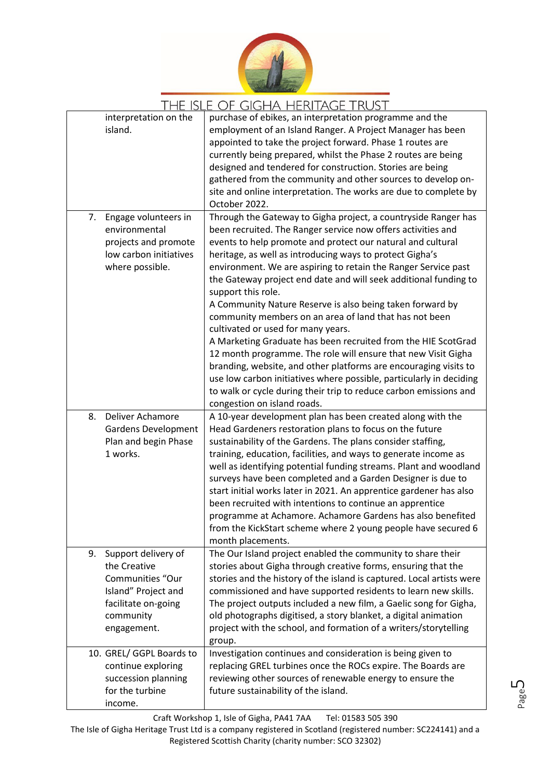

| E OF GIGHA HERITAGE TRUST<br>ISE                                                                                                               |                                                                                                                                                                                                                                                                                                                                                                                                                                                                                                                                                                                                                                                                                                                                                                                                                                                                                                                                                                     |  |  |
|------------------------------------------------------------------------------------------------------------------------------------------------|---------------------------------------------------------------------------------------------------------------------------------------------------------------------------------------------------------------------------------------------------------------------------------------------------------------------------------------------------------------------------------------------------------------------------------------------------------------------------------------------------------------------------------------------------------------------------------------------------------------------------------------------------------------------------------------------------------------------------------------------------------------------------------------------------------------------------------------------------------------------------------------------------------------------------------------------------------------------|--|--|
| interpretation on the<br>island.                                                                                                               | purchase of ebikes, an interpretation programme and the<br>employment of an Island Ranger. A Project Manager has been<br>appointed to take the project forward. Phase 1 routes are<br>currently being prepared, whilst the Phase 2 routes are being<br>designed and tendered for construction. Stories are being<br>gathered from the community and other sources to develop on-<br>site and online interpretation. The works are due to complete by<br>October 2022.                                                                                                                                                                                                                                                                                                                                                                                                                                                                                               |  |  |
| 7.<br>Engage volunteers in<br>environmental<br>projects and promote<br>low carbon initiatives<br>where possible.                               | Through the Gateway to Gigha project, a countryside Ranger has<br>been recruited. The Ranger service now offers activities and<br>events to help promote and protect our natural and cultural<br>heritage, as well as introducing ways to protect Gigha's<br>environment. We are aspiring to retain the Ranger Service past<br>the Gateway project end date and will seek additional funding to<br>support this role.<br>A Community Nature Reserve is also being taken forward by<br>community members on an area of land that has not been<br>cultivated or used for many years.<br>A Marketing Graduate has been recruited from the HIE ScotGrad<br>12 month programme. The role will ensure that new Visit Gigha<br>branding, website, and other platforms are encouraging visits to<br>use low carbon initiatives where possible, particularly in deciding<br>to walk or cycle during their trip to reduce carbon emissions and<br>congestion on island roads. |  |  |
| 8.<br>Deliver Achamore<br><b>Gardens Development</b><br>Plan and begin Phase<br>1 works.                                                       | A 10-year development plan has been created along with the<br>Head Gardeners restoration plans to focus on the future<br>sustainability of the Gardens. The plans consider staffing,<br>training, education, facilities, and ways to generate income as<br>well as identifying potential funding streams. Plant and woodland<br>surveys have been completed and a Garden Designer is due to<br>start initial works later in 2021. An apprentice gardener has also<br>been recruited with intentions to continue an apprentice<br>programme at Achamore. Achamore Gardens has also benefited<br>from the KickStart scheme where 2 young people have secured 6<br>month placements.                                                                                                                                                                                                                                                                                   |  |  |
| 9.<br>Support delivery of<br>the Creative<br><b>Communities "Our</b><br>Island" Project and<br>facilitate on-going<br>community<br>engagement. | The Our Island project enabled the community to share their<br>stories about Gigha through creative forms, ensuring that the<br>stories and the history of the island is captured. Local artists were<br>commissioned and have supported residents to learn new skills.<br>The project outputs included a new film, a Gaelic song for Gigha,<br>old photographs digitised, a story blanket, a digital animation<br>project with the school, and formation of a writers/storytelling<br>group.                                                                                                                                                                                                                                                                                                                                                                                                                                                                       |  |  |
| 10. GREL/ GGPL Boards to<br>continue exploring<br>succession planning<br>for the turbine<br>income.                                            | Investigation continues and consideration is being given to<br>replacing GREL turbines once the ROCs expire. The Boards are<br>reviewing other sources of renewable energy to ensure the<br>future sustainability of the island.                                                                                                                                                                                                                                                                                                                                                                                                                                                                                                                                                                                                                                                                                                                                    |  |  |